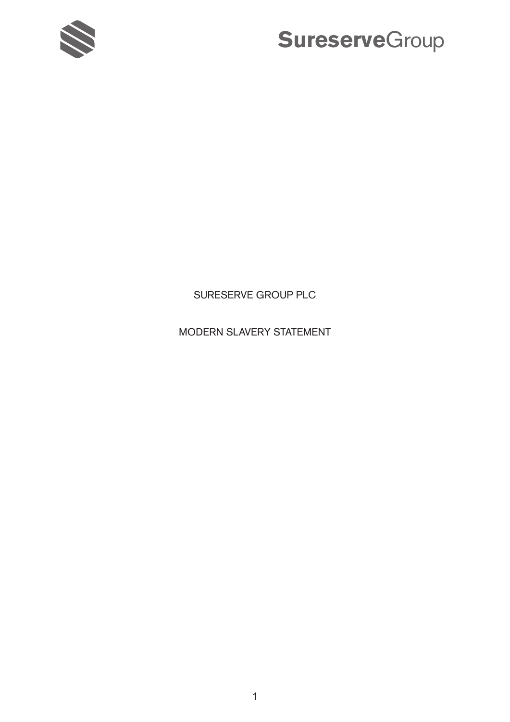

### SURESERVE GROUP PLC

## MODERN SLAVERY STATEMENT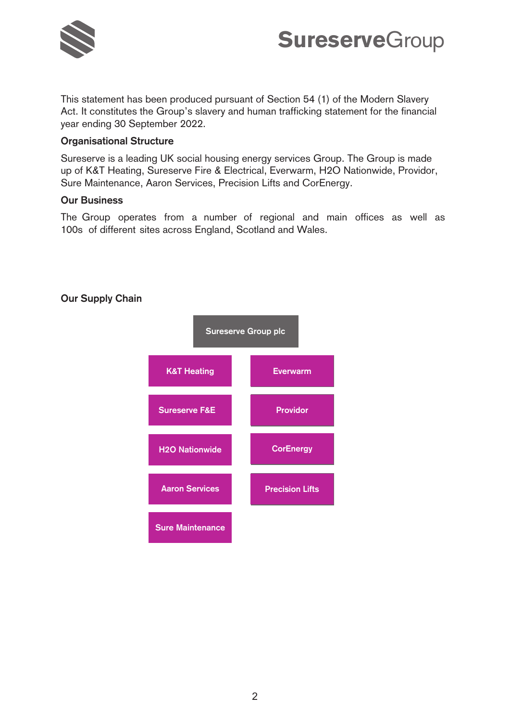

This statement has been produced pursuant of Section 54 (1) of the Modern Slavery Act. It constitutes the Group's slavery and human trafficking statement for the financial year ending 30 September 2022.

### **Organisational Structure**

Sureserve is a leading UK social housing energy services Group. The Group is made up of K&T Heating, Sureserve Fire & Electrical, Everwarm, H2O Nationwide, Providor, Sure Maintenance, Aaron Services, Precision Lifts and CorEnergy.

### **Our Business**

The Group operates from a number of regional and main offices as well as 100s of different sites across England, Scotland and Wales.



### **Our Supply Chain**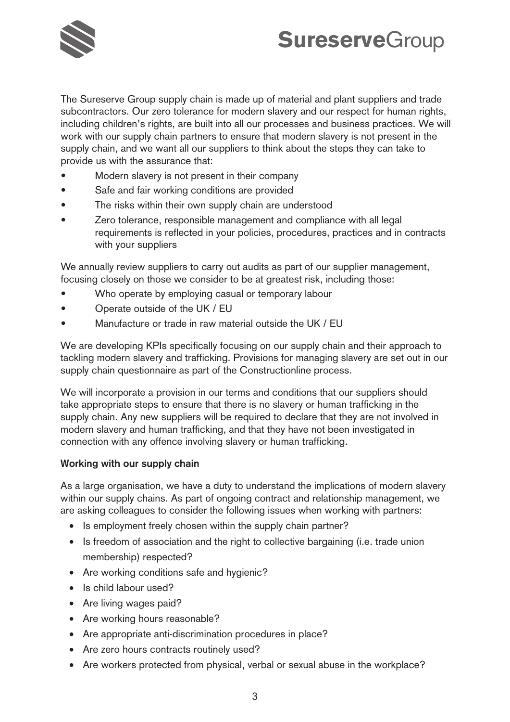

The Sureserve Group supply chain is made up of material and plant suppliers and trade **Sureserve**Group **Sureserve**Groupsubcontractors. Our zero tolerance for modern slavery and our respect for human rights, including children's rights, are built into all our processes and business practices. We will work with our supply chain partners to ensure that modern slavery is not present in the supply chain, and we want all our suppliers to think about the steps they can take to provide us with the assurance that:

- Modern slavery is not present in their company
- Safe and fair working conditions are provided
- The risks within their own supply chain are understood
- Zero tolerance, responsible management and compliance with all legal requirements is reflected in your policies, procedures, practices and in contracts with your suppliers

We annually review suppliers to carry out audits as part of our supplier management, focusing closely on those we consider to be at greatest risk, including those:

- Who operate by employing casual or temporary labour
- Operate outside of the UK / EU
- Manufacture or trade in raw material outside the UK / EU

We are developing KPIs specifically focusing on our supply chain and their approach to tackling modern slavery and trafficking. Provisions for managing slavery are set out in our supply chain questionnaire as part of the Constructionline process.

We will incorporate a provision in our terms and conditions that our suppliers should take appropriate steps to ensure that there is no slavery or human trafficking in the supply chain. Any new suppliers will be required to declare that they are not involved in modern slavery and human trafficking, and that they have not been investigated in connection with any offence involving slavery or human trafficking.

#### **Working with our supply chain**

As a large organisation, we have a duty to understand the implications of modern slavery within our supply chains. As part of ongoing contract and relationship management, we are asking colleagues to consider the following issues when working with partners:

- Is employment freely chosen within the supply chain partner?
- Is freedom of association and the right to collective bargaining (i.e. trade union membership) respected?
- Are working conditions safe and hygienic?
- Is child labour used?
- Are living wages paid?
- Are working hours reasonable?
- Are appropriate anti-discrimination procedures in place?
- Are zero hours contracts routinely used?
- Are workers protected from physical, verbal or sexual abuse in the workplace?